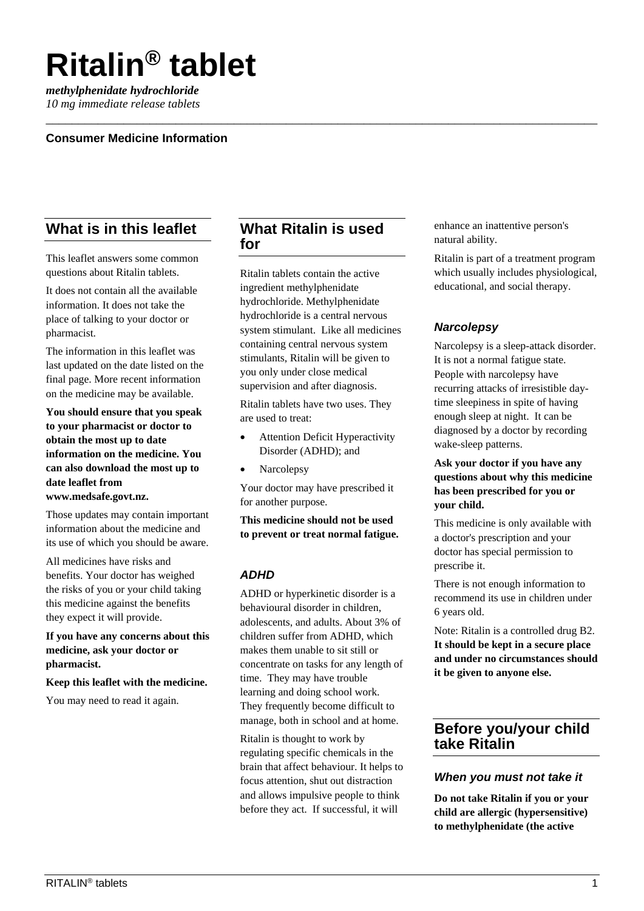# **Ritalin® tablet**

*methylphenidate hydrochloride 10 mg immediate release tablets*

# **Consumer Medicine Information**

# **What is in this leaflet**

This leaflet answers some common questions about Ritalin tablets.

It does not contain all the available information. It does not take the place of talking to your doctor or pharmacist.

The information in this leaflet was last updated on the date listed on the final page. More recent information on the medicine may be available.

**You should ensure that you speak to your pharmacist or doctor to obtain the most up to date information on the medicine. You can also download the most up to date leaflet from www.medsafe.govt.nz.**

Those updates may contain important information about the medicine and its use of which you should be aware.

All medicines have risks and benefits. Your doctor has weighed the risks of you or your child taking this medicine against the benefits they expect it will provide.

**If you have any concerns about this medicine, ask your doctor or pharmacist.**

#### **Keep this leaflet with the medicine.**

You may need to read it again.

# **What Ritalin is used for**

\_\_\_\_\_\_\_\_\_\_\_\_\_\_\_\_\_\_\_\_\_\_\_\_\_\_\_\_\_\_\_\_\_\_\_\_\_\_\_\_\_\_\_\_\_\_\_\_\_\_\_\_\_\_\_\_\_\_\_\_\_\_\_\_\_\_\_\_\_\_\_\_\_\_\_\_\_\_\_\_\_\_\_\_\_

Ritalin tablets contain the active ingredient methylphenidate hydrochloride. Methylphenidate hydrochloride is a central nervous system stimulant. Like all medicines containing central nervous system stimulants, Ritalin will be given to you only under close medical supervision and after diagnosis.

Ritalin tablets have two uses. They are used to treat:

- Attention Deficit Hyperactivity Disorder (ADHD); and
- **Narcolepsy**

Your doctor may have prescribed it for another purpose.

**This medicine should not be used to prevent or treat normal fatigue.**

# *ADHD*

ADHD or hyperkinetic disorder is a behavioural disorder in children, adolescents, and adults. About 3% of children suffer from ADHD, which makes them unable to sit still or concentrate on tasks for any length of time. They may have trouble learning and doing school work. They frequently become difficult to manage, both in school and at home.

Ritalin is thought to work by regulating specific chemicals in the brain that affect behaviour. It helps to focus attention, shut out distraction and allows impulsive people to think before they act. If successful, it will

enhance an inattentive person's natural ability.

Ritalin is part of a treatment program which usually includes physiological, educational, and social therapy.

# *Narcolepsy*

Narcolepsy is a sleep-attack disorder. It is not a normal fatigue state. People with narcolepsy have recurring attacks of irresistible daytime sleepiness in spite of having enough sleep at night. It can be diagnosed by a doctor by recording wake-sleep patterns.

#### **Ask your doctor if you have any questions about why this medicine has been prescribed for you or your child.**

This medicine is only available with a doctor's prescription and your doctor has special permission to prescribe it.

There is not enough information to recommend its use in children under 6 years old.

Note: Ritalin is a controlled drug B2. **It should be kept in a secure place and under no circumstances should it be given to anyone else.**

# **Before you/your child take Ritalin**

# *When you must not take it*

**Do not take Ritalin if you or your child are allergic (hypersensitive) to methylphenidate (the active**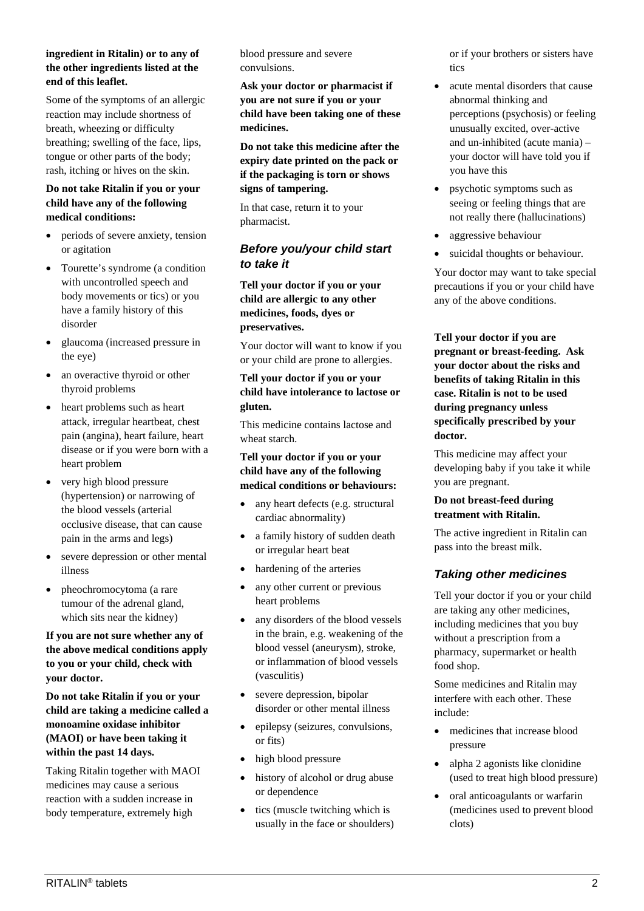#### **ingredient in Ritalin) or to any of the other ingredients listed at the end of this leaflet.**

Some of the symptoms of an allergic reaction may include shortness of breath, wheezing or difficulty breathing; swelling of the face, lips, tongue or other parts of the body; rash, itching or hives on the skin.

### **Do not take Ritalin if you or your child have any of the following medical conditions:**

- periods of severe anxiety, tension or agitation
- Tourette's syndrome (a condition with uncontrolled speech and body movements or tics) or you have a family history of this disorder
- glaucoma (increased pressure in the eye)
- an overactive thyroid or other thyroid problems
- heart problems such as heart attack, irregular heartbeat, chest pain (angina), heart failure, heart disease or if you were born with a heart problem
- very high blood pressure (hypertension) or narrowing of the blood vessels (arterial occlusive disease, that can cause pain in the arms and legs)
- severe depression or other mental illness
- pheochromocytoma (a rare tumour of the adrenal gland, which sits near the kidney)

**If you are not sure whether any of the above medical conditions apply to you or your child, check with your doctor.**

**Do not take Ritalin if you or your child are taking a medicine called a monoamine oxidase inhibitor (MAOI) or have been taking it within the past 14 days.**

Taking Ritalin together with MAOI medicines may cause a serious reaction with a sudden increase in body temperature, extremely high

blood pressure and severe convulsions.

**Ask your doctor or pharmacist if you are not sure if you or your child have been taking one of these medicines.**

**Do not take this medicine after the expiry date printed on the pack or if the packaging is torn or shows signs of tampering.**

In that case, return it to your pharmacist.

# *Before you/your child start to take it*

**Tell your doctor if you or your child are allergic to any other medicines, foods, dyes or preservatives.**

Your doctor will want to know if you or your child are prone to allergies.

#### **Tell your doctor if you or your child have intolerance to lactose or gluten.**

This medicine contains lactose and wheat starch.

### **Tell your doctor if you or your child have any of the following medical conditions or behaviours:**

- any heart defects (e.g. structural cardiac abnormality)
- a family history of sudden death or irregular heart beat
- hardening of the arteries
- any other current or previous heart problems
- any disorders of the blood vessels in the brain, e.g. weakening of the blood vessel (aneurysm), stroke, or inflammation of blood vessels (vasculitis)
- severe depression, bipolar disorder or other mental illness
- epilepsy (seizures, convulsions, or fits)
- high blood pressure
- history of alcohol or drug abuse or dependence
- tics (muscle twitching which is usually in the face or shoulders)

or if your brothers or sisters have tics

- acute mental disorders that cause abnormal thinking and perceptions (psychosis) or feeling unusually excited, over-active and un-inhibited (acute mania) – your doctor will have told you if you have this
- psychotic symptoms such as seeing or feeling things that are not really there (hallucinations)
- aggressive behaviour
- suicidal thoughts or behaviour.

Your doctor may want to take special precautions if you or your child have any of the above conditions.

**Tell your doctor if you are pregnant or breast-feeding. Ask your doctor about the risks and benefits of taking Ritalin in this case. Ritalin is not to be used during pregnancy unless specifically prescribed by your doctor.**

This medicine may affect your developing baby if you take it while you are pregnant.

# **Do not breast-feed during treatment with Ritalin.**

The active ingredient in Ritalin can pass into the breast milk.

# *Taking other medicines*

Tell your doctor if you or your child are taking any other medicines, including medicines that you buy without a prescription from a pharmacy, supermarket or health food shop.

Some medicines and Ritalin may interfere with each other. These include:

- medicines that increase blood pressure
- alpha 2 agonists like clonidine (used to treat high blood pressure)
- oral anticoagulants or warfarin (medicines used to prevent blood clots)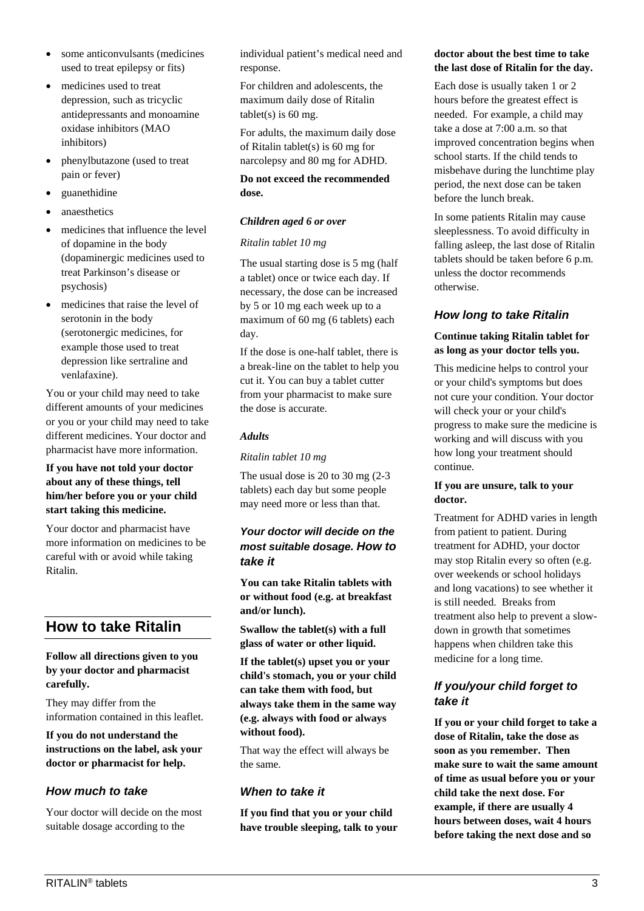- some anticonvulsants (medicines used to treat epilepsy or fits)
- medicines used to treat depression, such as tricyclic antidepressants and monoamine oxidase inhibitors (MAO inhibitors)
- phenylbutazone (used to treat pain or fever)
- guanethidine
- anaesthetics
- medicines that influence the level of dopamine in the body (dopaminergic medicines used to treat Parkinson's disease or psychosis)
- medicines that raise the level of serotonin in the body (serotonergic medicines, for example those used to treat depression like sertraline and venlafaxine).

You or your child may need to take different amounts of your medicines or you or your child may need to take different medicines. Your doctor and pharmacist have more information.

#### **If you have not told your doctor about any of these things, tell him/her before you or your child start taking this medicine.**

Your doctor and pharmacist have more information on medicines to be careful with or avoid while taking Ritalin.

# **How to take Ritalin**

#### **Follow all directions given to you by your doctor and pharmacist carefully.**

They may differ from the information contained in this leaflet.

**If you do not understand the instructions on the label, ask your doctor or pharmacist for help.**

# *How much to take*

Your doctor will decide on the most suitable dosage according to the

individual patient's medical need and response.

For children and adolescents, the maximum daily dose of Ritalin tablet(s) is  $60$  mg.

For adults, the maximum daily dose of Ritalin tablet(s) is 60 mg for narcolepsy and 80 mg for ADHD.

#### **Do not exceed the recommended dose.**

#### *Children aged 6 or over*

#### *Ritalin tablet 10 mg*

The usual starting dose is 5 mg (half a tablet) once or twice each day. If necessary, the dose can be increased by 5 or 10 mg each week up to a maximum of 60 mg (6 tablets) each day.

If the dose is one-half tablet, there is a break-line on the tablet to help you cut it. You can buy a tablet cutter from your pharmacist to make sure the dose is accurate.

#### *Adults*

*Ritalin tablet 10 mg*

The usual dose is 20 to 30 mg (2-3 tablets) each day but some people may need more or less than that.

# *Your doctor will decide on the most suitable dosage. How to take it*

**You can take Ritalin tablets with or without food (e.g. at breakfast and/or lunch).**

**Swallow the tablet(s) with a full glass of water or other liquid.** 

**If the tablet(s) upset you or your child's stomach, you or your child can take them with food, but always take them in the same way (e.g. always with food or always without food).**

That way the effect will always be the same.

# *When to take it*

**If you find that you or your child have trouble sleeping, talk to your** 

# **doctor about the best time to take the last dose of Ritalin for the day.**

Each dose is usually taken 1 or 2 hours before the greatest effect is needed. For example, a child may take a dose at 7:00 a.m. so that improved concentration begins when school starts. If the child tends to misbehave during the lunchtime play period, the next dose can be taken before the lunch break.

In some patients Ritalin may cause sleeplessness. To avoid difficulty in falling asleep, the last dose of Ritalin tablets should be taken before 6 p.m. unless the doctor recommends otherwise.

# *How long to take Ritalin*

#### **Continue taking Ritalin tablet for as long as your doctor tells you.**

This medicine helps to control your or your child's symptoms but does not cure your condition. Your doctor will check your or your child's progress to make sure the medicine is working and will discuss with you how long your treatment should continue.

#### **If you are unsure, talk to your doctor.**

Treatment for ADHD varies in length from patient to patient. During treatment for ADHD, your doctor may stop Ritalin every so often (e.g. over weekends or school holidays and long vacations) to see whether it is still needed. Breaks from treatment also help to prevent a slowdown in growth that sometimes happens when children take this medicine for a long time.

# *If you/your child forget to take it*

**If you or your child forget to take a dose of Ritalin, take the dose as soon as you remember. Then make sure to wait the same amount of time as usual before you or your child take the next dose. For example, if there are usually 4 hours between doses, wait 4 hours before taking the next dose and so**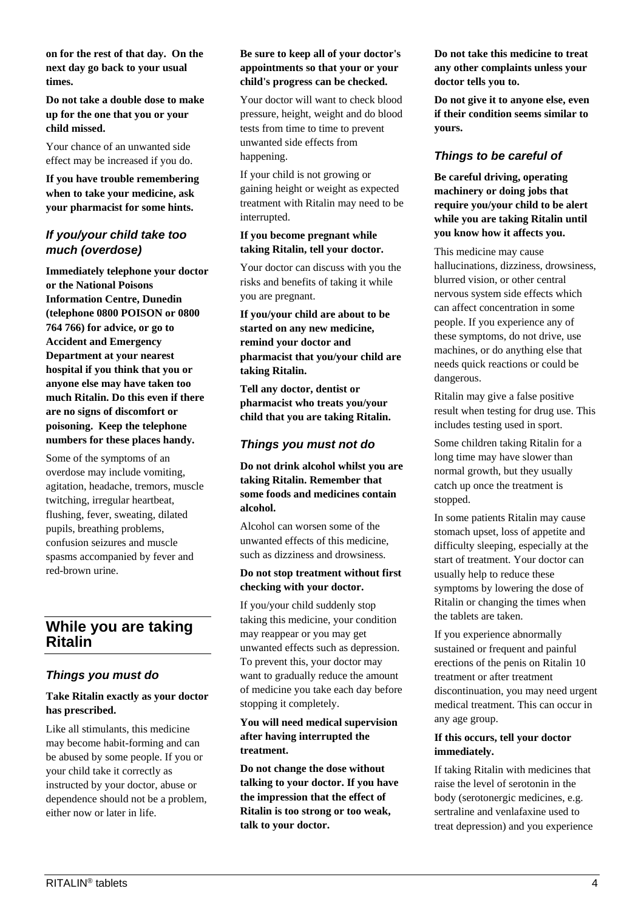**on for the rest of that day. On the next day go back to your usual times.**

**Do not take a double dose to make up for the one that you or your child missed.**

Your chance of an unwanted side effect may be increased if you do.

**If you have trouble remembering when to take your medicine, ask your pharmacist for some hints.**

# *If you/your child take too much (overdose)*

**Immediately telephone your doctor or the National Poisons Information Centre, Dunedin (telephone 0800 POISON or 0800 764 766) for advice, or go to Accident and Emergency Department at your nearest hospital if you think that you or anyone else may have taken too much Ritalin. Do this even if there are no signs of discomfort or poisoning. Keep the telephone numbers for these places handy.**

Some of the symptoms of an overdose may include vomiting, agitation, headache, tremors, muscle twitching, irregular heartbeat, flushing, fever, sweating, dilated pupils, breathing problems, confusion seizures and muscle spasms accompanied by fever and red-brown urine.

# **While you are taking Ritalin**

# *Things you must do*

#### **Take Ritalin exactly as your doctor has prescribed.**

Like all stimulants, this medicine may become habit-forming and can be abused by some people. If you or your child take it correctly as instructed by your doctor, abuse or dependence should not be a problem, either now or later in life.

#### **Be sure to keep all of your doctor's appointments so that your or your child's progress can be checked.**

Your doctor will want to check blood pressure, height, weight and do blood tests from time to time to prevent unwanted side effects from happening.

If your child is not growing or gaining height or weight as expected treatment with Ritalin may need to be interrupted.

#### **If you become pregnant while taking Ritalin, tell your doctor.**

Your doctor can discuss with you the risks and benefits of taking it while you are pregnant.

**If you/your child are about to be started on any new medicine, remind your doctor and pharmacist that you/your child are taking Ritalin.**

**Tell any doctor, dentist or pharmacist who treats you/your child that you are taking Ritalin.**

# *Things you must not do*

**Do not drink alcohol whilst you are taking Ritalin. Remember that some foods and medicines contain alcohol.**

Alcohol can worsen some of the unwanted effects of this medicine, such as dizziness and drowsiness.

#### **Do not stop treatment without first checking with your doctor.**

If you/your child suddenly stop taking this medicine, your condition may reappear or you may get unwanted effects such as depression. To prevent this, your doctor may want to gradually reduce the amount of medicine you take each day before stopping it completely.

#### **You will need medical supervision after having interrupted the treatment.**

**Do not change the dose without talking to your doctor. If you have the impression that the effect of Ritalin is too strong or too weak, talk to your doctor.**

**Do not take this medicine to treat any other complaints unless your doctor tells you to.**

**Do not give it to anyone else, even if their condition seems similar to yours.**

# *Things to be careful of*

**Be careful driving, operating machinery or doing jobs that require you/your child to be alert while you are taking Ritalin until you know how it affects you.**

This medicine may cause hallucinations, dizziness, drowsiness, blurred vision, or other central nervous system side effects which can affect concentration in some people. If you experience any of these symptoms, do not drive, use machines, or do anything else that needs quick reactions or could be dangerous.

Ritalin may give a false positive result when testing for drug use. This includes testing used in sport.

Some children taking Ritalin for a long time may have slower than normal growth, but they usually catch up once the treatment is stopped.

In some patients Ritalin may cause stomach upset, loss of appetite and difficulty sleeping, especially at the start of treatment. Your doctor can usually help to reduce these symptoms by lowering the dose of Ritalin or changing the times when the tablets are taken.

If you experience abnormally sustained or frequent and painful erections of the penis on Ritalin 10 treatment or after treatment discontinuation, you may need urgent medical treatment. This can occur in any age group.

#### **If this occurs, tell your doctor immediately.**

If taking Ritalin with medicines that raise the level of serotonin in the body (serotonergic medicines, e.g. sertraline and venlafaxine used to treat depression) and you experience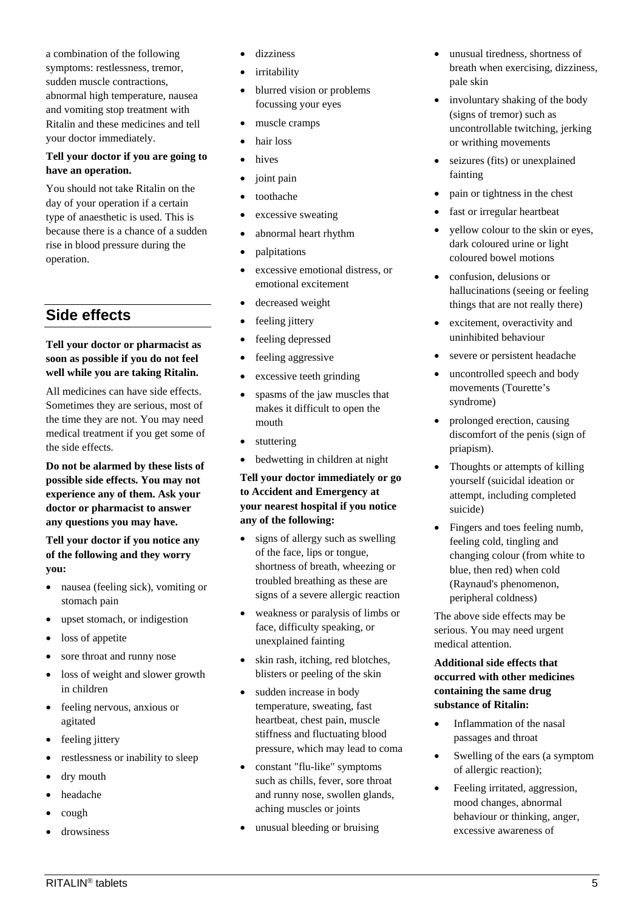a combination of the following symptoms: restlessness, tremor, sudden muscle contractions, abnormal high temperature, nausea and vomiting stop treatment with Ritalin and these medicines and tell your doctor immediately.

# **Tell your doctor if you are going to have an operation.**

You should not take Ritalin on the day of your operation if a certain type of anaesthetic is used. This is because there is a chance of a sudden rise in blood pressure during the operation.

# **Side effects**

### **Tell your doctor or pharmacist as soon as possible if you do not feel well while you are taking Ritalin.**

All medicines can have side effects. Sometimes they are serious, most of the time they are not. You may need medical treatment if you get some of the side effects.

**Do not be alarmed by these lists of possible side effects. You may not experience any of them. Ask your doctor or pharmacist to answer any questions you may have.**

#### **Tell your doctor if you notice any of the following and they worry you:**

- nausea (feeling sick), vomiting or stomach pain
- upset stomach, or indigestion
- loss of appetite
- sore throat and runny nose
- loss of weight and slower growth in children
- feeling nervous, anxious or agitated
- feeling jittery
- restlessness or inability to sleep
- dry mouth
- headache
- cough
- drowsiness
- dizziness
- irritability
- blurred vision or problems focussing your eyes
- muscle cramps
- hair loss
- hives
- joint pain
- toothache
- excessive sweating
- abnormal heart rhythm
- palpitations
- excessive emotional distress, or emotional excitement
- decreased weight
- feeling jittery
- feeling depressed
- feeling aggressive
- excessive teeth grinding
- spasms of the jaw muscles that makes it difficult to open the mouth
- stuttering
- bedwetting in children at night

**Tell your doctor immediately or go to Accident and Emergency at your nearest hospital if you notice any of the following:**

- signs of allergy such as swelling of the face, lips or tongue, shortness of breath, wheezing or troubled breathing as these are signs of a severe allergic reaction
- weakness or paralysis of limbs or face, difficulty speaking, or unexplained fainting
- skin rash, itching, red blotches, blisters or peeling of the skin
- sudden increase in body temperature, sweating, fast heartbeat, chest pain, muscle stiffness and fluctuating blood pressure, which may lead to coma
- constant "flu-like" symptoms such as chills, fever, sore throat and runny nose, swollen glands, aching muscles or joints
- unusual bleeding or bruising
- unusual tiredness, shortness of breath when exercising, dizziness, pale skin
- involuntary shaking of the body (signs of tremor) such as uncontrollable twitching, jerking or writhing movements
- seizures (fits) or unexplained fainting
- pain or tightness in the chest
- fast or irregular heartbeat
- yellow colour to the skin or eyes, dark coloured urine or light coloured bowel motions
- confusion, delusions or hallucinations (seeing or feeling things that are not really there)
- excitement, overactivity and uninhibited behaviour
- severe or persistent headache
- uncontrolled speech and body movements (Tourette's syndrome)
- prolonged erection, causing discomfort of the penis (sign of priapism).
- Thoughts or attempts of killing yourself (suicidal ideation or attempt, including completed suicide)
- Fingers and toes feeling numb, feeling cold, tingling and changing colour (from white to blue, then red) when cold (Raynaud's phenomenon, peripheral coldness)

The above side effects may be serious. You may need urgent medical attention.

### **Additional side effects that occurred with other medicines containing the same drug substance of Ritalin:**

- Inflammation of the nasal passages and throat
- Swelling of the ears (a symptom of allergic reaction);
- Feeling irritated, aggression, mood changes, abnormal behaviour or thinking, anger, excessive awareness of